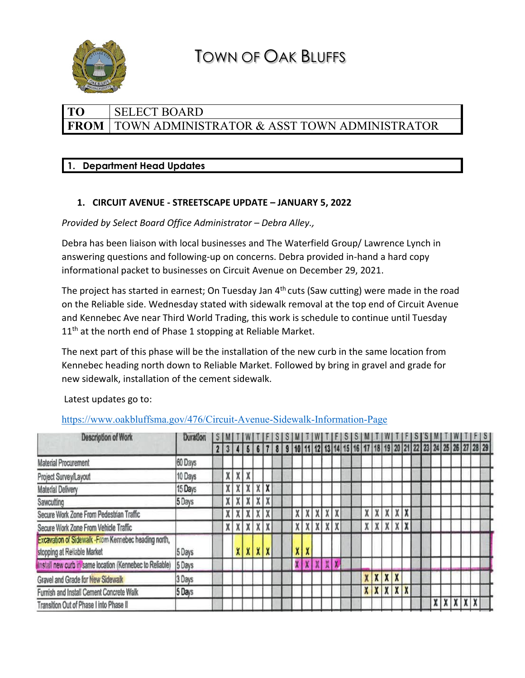

# TOWN OF OAK BLUFFS

# **TO** SELECT BOARD FROM | TOWN ADMINISTRATOR & ASST TOWN ADMINISTRATOR

# **1. Department Head Updates**

# **1. CIRCUIT AVENUE - STREETSCAPE UPDATE – JANUARY 5, 2022**

*Provided by Select Board Office Administrator – Debra Alley.,* 

Debra has been liaison with local businesses and The Waterfield Group/ Lawrence Lynch in answering questions and following-up on concerns. Debra provided in-hand a hard copy informational packet to businesses on Circuit Avenue on December 29, 2021.

The project has started in earnest; On Tuesday Jan  $4<sup>th</sup>$  cuts (Saw cutting) were made in the road on the Reliable side. Wednesday stated with sidewalk removal at the top end of Circuit Avenue and Kennebec Ave near Third World Trading, this work is schedule to continue until Tuesday 11<sup>th</sup> at the north end of Phase 1 stopping at Reliable Market.

The next part of this phase will be the installation of the new curb in the same location from Kennebec heading north down to Reliable Market. Followed by bring in gravel and grade for new sidewalk, installation of the cement sidewalk.

Latest updates go to:

# <https://www.oakbluffsma.gov/476/Circuit-Avenue-Sidewalk-Information-Page>

| <b>Description of Work</b>                                                           | Duration |  | 5 M   |   |                 |         |  |   |   |                     |  |       |                 |                  |                  |              |  |     |     |                                                               |  |
|--------------------------------------------------------------------------------------|----------|--|-------|---|-----------------|---------|--|---|---|---------------------|--|-------|-----------------|------------------|------------------|--------------|--|-----|-----|---------------------------------------------------------------|--|
|                                                                                      |          |  | 23456 |   |                 |         |  |   |   |                     |  |       |                 |                  |                  |              |  |     |     | 9 10 11 12 13 14 15 16 17 18 19 20 21 22 23 24 25 26 27 28 29 |  |
| <b>Material Procurement</b>                                                          | 60 Days  |  |       |   |                 |         |  |   |   |                     |  |       |                 |                  |                  |              |  |     |     |                                                               |  |
| Project Survey/Layout                                                                | 10 Days  |  | X     | v |                 |         |  |   |   |                     |  |       |                 |                  |                  |              |  |     |     |                                                               |  |
| <b>Material Delivery</b>                                                             | 15 Days  |  | X     | X | x               | $X$ $X$ |  |   |   |                     |  |       |                 |                  |                  |              |  |     |     |                                                               |  |
| Sawcutting                                                                           | 5 Days   |  | X     |   | $X$ $X$         | $X$ $X$ |  |   |   |                     |  |       |                 |                  |                  |              |  |     |     |                                                               |  |
| Secure Work Zone From Pedestrian Traffic                                             |          |  |       |   |                 |         |  |   | X | X                   |  |       | x   x           | x                | X                | $\mathbf{X}$ |  |     |     |                                                               |  |
| Secure Work Zone From Vehicle Traffic                                                |          |  | X     |   | $X$ $X$ $X$ $X$ |         |  |   |   | $X$ $X$ $X$ $X$ $X$ |  |       | $X$ $X$ $X$ $X$ |                  |                  |              |  |     |     |                                                               |  |
| Excavation of Sidewalk - From Kennebec heading north,<br>stopping at Reliable Market | 5 Days   |  |       |   | x   x   x   x   |         |  |   | X |                     |  |       |                 |                  |                  |              |  |     |     |                                                               |  |
| Install new curb in same location (Kennebec to Reliable)                             | 5 Days   |  |       |   |                 |         |  | X | x | XXX                 |  |       |                 |                  |                  |              |  |     |     |                                                               |  |
| Gravel and Grade for New Sidewalk                                                    | 3 Days   |  |       |   |                 |         |  |   |   |                     |  | x   x |                 | $\boldsymbol{x}$ |                  |              |  |     |     |                                                               |  |
| Furnish and Install Cement Concrete Walk                                             | 5 Days   |  |       |   |                 |         |  |   |   |                     |  |       | $X$ $X$ $X$     |                  | $\boldsymbol{X}$ | $\mathbf{X}$ |  |     |     |                                                               |  |
| Transition Out of Phase I into Phase II                                              |          |  |       |   |                 |         |  |   |   |                     |  |       |                 |                  |                  |              |  | x x | X X |                                                               |  |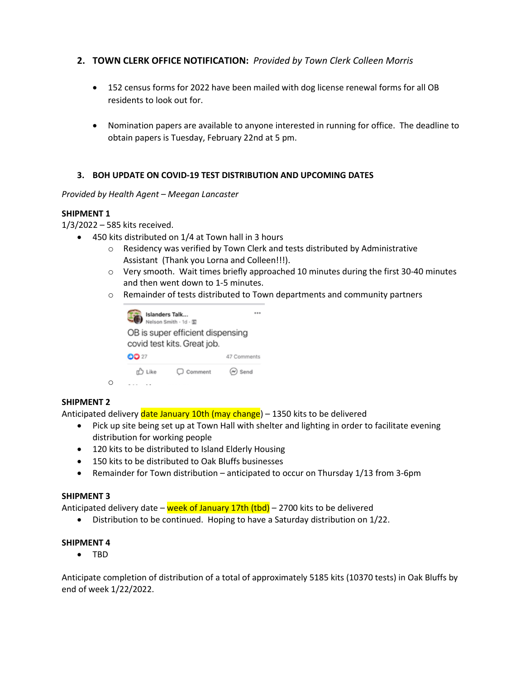## **2. TOWN CLERK OFFICE NOTIFICATION:** *Provided by Town Clerk Colleen Morris*

- 152 census forms for 2022 have been mailed with dog license renewal forms for all OB residents to look out for.
- Nomination papers are available to anyone interested in running for office. The deadline to obtain papers is Tuesday, February 22nd at 5 pm.

## **3. BOH UPDATE ON COVID-19 TEST DISTRIBUTION AND UPCOMING DATES**

## *Provided by Health Agent – Meegan Lancaster*

## **SHIPMENT 1**

1/3/2022 – 585 kits received.

- 450 kits distributed on 1/4 at Town hall in 3 hours
	- o Residency was verified by Town Clerk and tests distributed by Administrative Assistant (Thank you Lorna and Colleen!!!).
	- $\circ$  Very smooth. Wait times briefly approached 10 minutes during the first 30-40 minutes and then went down to 1-5 minutes.
	- $\circ$  Remainder of tests distributed to Town departments and community partners



## **SHIPMENT 2**

Anticipated delivery date January 10th (may change) – 1350 kits to be delivered

- Pick up site being set up at Town Hall with shelter and lighting in order to facilitate evening distribution for working people
- 120 kits to be distributed to Island Elderly Housing
- 150 kits to be distributed to Oak Bluffs businesses
- Remainder for Town distribution anticipated to occur on Thursday 1/13 from 3-6pm

## **SHIPMENT 3**

Anticipated delivery date – week of January 17th (tbd) – 2700 kits to be delivered

• Distribution to be continued. Hoping to have a Saturday distribution on 1/22.

#### **SHIPMENT 4**

• TBD

Anticipate completion of distribution of a total of approximately 5185 kits (10370 tests) in Oak Bluffs by end of week 1/22/2022.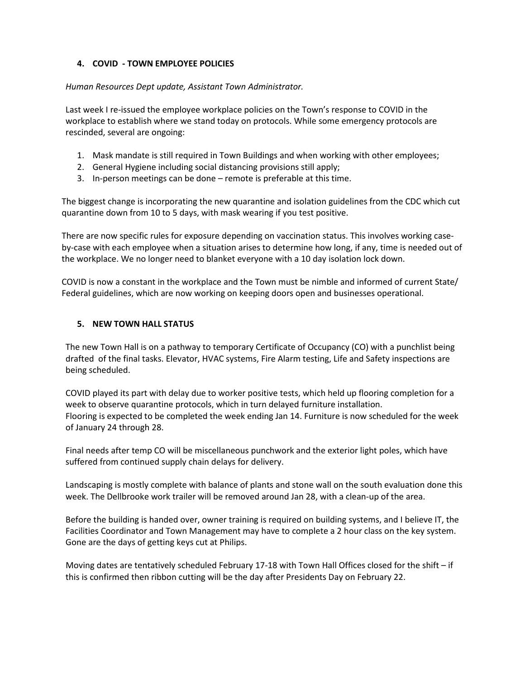## **4. COVID - TOWN EMPLOYEE POLICIES**

## *Human Resources Dept update, Assistant Town Administrator.*

Last week I re-issued the employee workplace policies on the Town's response to COVID in the workplace to establish where we stand today on protocols. While some emergency protocols are rescinded, several are ongoing:

- 1. Mask mandate is still required in Town Buildings and when working with other employees;
- 2. General Hygiene including social distancing provisions still apply;
- 3. In-person meetings can be done remote is preferable at this time.

The biggest change is incorporating the new quarantine and isolation guidelines from the CDC which cut quarantine down from 10 to 5 days, with mask wearing if you test positive.

There are now specific rules for exposure depending on vaccination status. This involves working caseby-case with each employee when a situation arises to determine how long, if any, time is needed out of the workplace. We no longer need to blanket everyone with a 10 day isolation lock down.

COVID is now a constant in the workplace and the Town must be nimble and informed of current State/ Federal guidelines, which are now working on keeping doors open and businesses operational.

## **5. NEW TOWN HALL STATUS**

The new Town Hall is on a pathway to temporary Certificate of Occupancy (CO) with a punchlist being drafted of the final tasks. Elevator, HVAC systems, Fire Alarm testing, Life and Safety inspections are being scheduled.

COVID played its part with delay due to worker positive tests, which held up flooring completion for a week to observe quarantine protocols, which in turn delayed furniture installation. Flooring is expected to be completed the week ending Jan 14. Furniture is now scheduled for the week of January 24 through 28.

Final needs after temp CO will be miscellaneous punchwork and the exterior light poles, which have suffered from continued supply chain delays for delivery.

Landscaping is mostly complete with balance of plants and stone wall on the south evaluation done this week. The Dellbrooke work trailer will be removed around Jan 28, with a clean-up of the area.

Before the building is handed over, owner training is required on building systems, and I believe IT, the Facilities Coordinator and Town Management may have to complete a 2 hour class on the key system. Gone are the days of getting keys cut at Philips.

Moving dates are tentatively scheduled February 17-18 with Town Hall Offices closed for the shift – if this is confirmed then ribbon cutting will be the day after Presidents Day on February 22.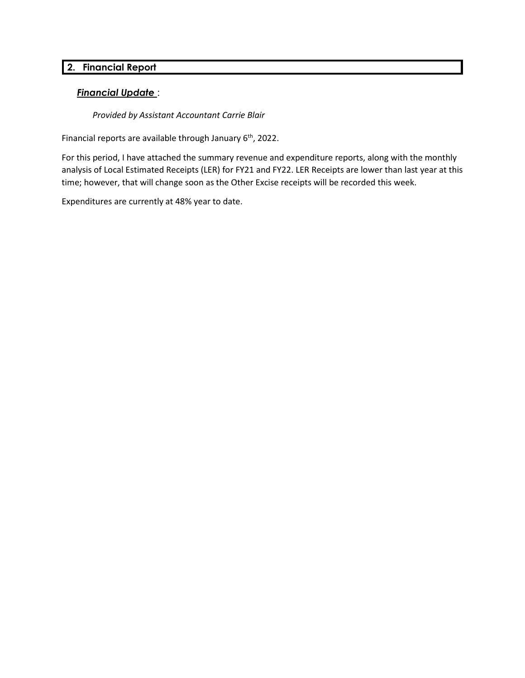# **2. Financial Report**

## *Financial Update* :

*Provided by Assistant Accountant Carrie Blair*

Financial reports are available through January 6<sup>th</sup>, 2022.

For this period, I have attached the summary revenue and expenditure reports, along with the monthly analysis of Local Estimated Receipts (LER) for FY21 and FY22. LER Receipts are lower than last year at this time; however, that will change soon as the Other Excise receipts will be recorded this week.

Expenditures are currently at 48% year to date.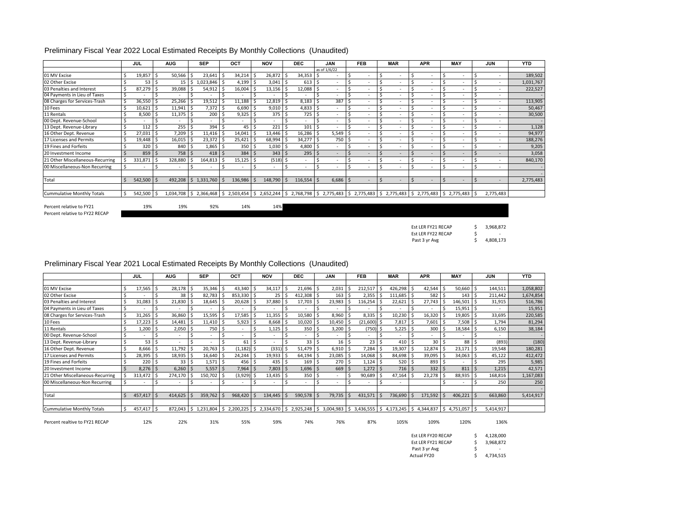#### Preliminary Fiscal Year 2022 Local Estimated Receipts By Monthly Collections (Unaudited)

|                                   |   | <b>JUL</b> |   | <b>AUG</b>   |    | <b>SEP</b>                                                                                                                                            | OCT     |    | <b>NOV</b>   |      | <b>DEC</b>               |     | <b>JAN</b>     | <b>FEB</b>               |    | <b>MAR</b>               | <b>APR</b>               | MAY  |   | <b>JUN</b>               | <b>YTD</b> |
|-----------------------------------|---|------------|---|--------------|----|-------------------------------------------------------------------------------------------------------------------------------------------------------|---------|----|--------------|------|--------------------------|-----|----------------|--------------------------|----|--------------------------|--------------------------|------|---|--------------------------|------------|
|                                   |   |            |   |              |    |                                                                                                                                                       |         |    |              |      |                          |     | as of 1/6/22   |                          |    |                          |                          |      |   |                          |            |
| 01 MV Excise                      |   | 19,857     |   | 50,566       |    | 23,641                                                                                                                                                | 34,214  |    | 26,872       |      | 34,353                   | I S |                | $\overline{\phantom{a}}$ |    | $\overline{\phantom{a}}$ |                          |      |   | $\sim$                   | 189,502    |
| 02 Other Excise                   |   | 53         | Ŝ | 15           | ۱s | 1,023,846                                                                                                                                             | 4,199   |    | $3,041$ \$   |      | 613                      | l S | ۰              | $\overline{\phantom{a}}$ |    | $\overline{\phantom{a}}$ | $\overline{\phantom{a}}$ |      |   | $\sim$                   | 1,031,767  |
| 03 Penalties and Interest         |   | 87,279     |   | 39,088       |    | 54,912                                                                                                                                                | 16,004  |    | $13,156$ \$  |      | 12,088 \$                |     | ۰.             | $\overline{\phantom{a}}$ |    | $\overline{\phantom{a}}$ |                          |      |   | ٠                        | 222,527    |
| 04 Payments in Lieu of Taxes      | Ŝ |            |   |              |    |                                                                                                                                                       |         |    |              |      |                          |     |                |                          |    |                          |                          |      |   |                          |            |
| 08 Charges for Services-Trash     |   | 36,550     |   | 25,266       |    | 19,512                                                                                                                                                | 11,188  |    | 12,819 \$    |      | 8,183                    | l S | 387            | $\sim$                   |    |                          | $\overline{\phantom{a}}$ |      |   |                          | 113,905    |
| 10 Fees                           |   | 10,621     |   | 11,941       |    | 7,372                                                                                                                                                 | 6,690   |    | $9,010$ \$   |      | $4,833$ \$               |     |                | ۰                        |    |                          |                          |      |   |                          | 50,467     |
| 11 Rentals                        |   | 8,500      |   | 11,375       |    | 200                                                                                                                                                   | 9,325   |    | 375S         |      | 725                      | -\$ | ۰              |                          |    | $\overline{\phantom{a}}$ |                          |      |   |                          | 30,500     |
| 00 Dept. Revenue-School           |   |            |   |              |    | ۰                                                                                                                                                     |         |    |              |      | $\sim$                   |     | ٠              | $\overline{\phantom{a}}$ |    | $\overline{\phantom{a}}$ |                          |      |   |                          |            |
| 13 Dept. Revenue-Library          |   | 112        | S | 255          |    | 394                                                                                                                                                   | 45      |    | 221S         |      | 101                      | I S | ۰              | $\overline{\phantom{a}}$ |    | $\overline{\phantom{a}}$ | $\sim$                   |      |   | ٠                        | 1,128      |
| 16 Other Dept. Revenue            |   | 27,031     |   | 7,209        |    | 11,416                                                                                                                                                | 14,041  |    | 13,446 \$    |      | 16,286                   | -S  | $5,549$ \$     | ۰                        |    |                          |                          |      |   | ٠                        | 94,977     |
| 17 Licenses and Permits           |   | 19,448     |   | 16,015       |    | 23,372                                                                                                                                                | 25,421  |    | 68,994       | - 15 | 34,277                   | l S | 750            | $\overline{\phantom{a}}$ |    | $\sim$                   | $\sim$                   |      |   |                          | 188,276    |
| 19 Fines and Forfeits             |   | 320        | Ś | 840 \$       |    | $1,865$ \$                                                                                                                                            | 350     |    | $1,030$   \$ |      | 4,800 \$                 |     | ۰              | $\overline{\phantom{a}}$ |    | $\overline{\phantom{a}}$ |                          |      |   |                          | 9,205      |
| 20 Investment Income              |   | 859        | Ś | 758 \$       |    | 418                                                                                                                                                   | 384     |    | $343 \,$ \$  |      | 295                      | S.  | $\overline{a}$ | $\overline{a}$           |    | $\overline{a}$           | $\sim$                   |      |   |                          | 3,058      |
| 21 Other Miscellaneous-Recurring  |   | 331,871    |   | 328,880      |    | 164,813                                                                                                                                               | 15,125  |    | $(518)$ \$   |      | $\sim$                   | Ŝ.  | ٠              | $\overline{\phantom{a}}$ |    |                          |                          |      |   | ٠                        | 840,170    |
| 00 Miscellaneous-Non Recurring    |   |            |   | ٠            |    |                                                                                                                                                       |         |    |              |      | $\overline{\phantom{a}}$ |     | ۰              | $\overline{\phantom{a}}$ |    | $\overline{\phantom{a}}$ |                          |      |   | $\sim$                   | $\sim$     |
|                                   |   |            |   |              |    |                                                                                                                                                       |         |    |              |      |                          |     |                |                          |    |                          |                          |      |   |                          |            |
| Total                             |   | 542,500 \$ |   | $492,208$ \$ |    | $1,331,760$ \$                                                                                                                                        | 136,986 | -Ś | 148,790 \$   |      | 116,554                  | l S | $6,686$ \$     | $\overline{a}$           | -Ś | $\overline{a}$           | $\overline{a}$           | $\,$ | Ŝ | $\overline{\phantom{a}}$ | 2,775,483  |
| <b>Cummulative Monthly Totals</b> |   | 542,500    |   |              |    | 1,034,708   \$ 2,366,468   \$ 2,503,454   \$ 2,652,244   \$ 2,768,798   \$ 2,775,483   \$ 2,775,483   \$ 2,775,483   \$ 2,775,483   \$ 2,775,483   \$ |         |    |              |      |                          |     |                |                          |    |                          |                          |      |   | 2,775,483                |            |

Percent relative to FY22 RECAP

Percent relative to FY21  $19\%$   $19\%$   $92\%$   $14\%$   $14\%$ 

| Est LER FY21 RECAP | 3,968,872 |
|--------------------|-----------|
| Est LER FY22 RECAP | -         |
| Past 3 yr Avg      | 4,808,173 |

#### Preliminary Fiscal Year 2021 Local Estimated Receipts By Monthly Collections (Unaudited)

|                                   |   | JUL     |    | <b>AUG</b>     |     | <b>SEP</b>   |    | OCT       |    | <b>NOV</b>               |     | <b>DEC</b>       | <b>JAN</b>     | <b>FEB</b>    |    | <b>MAR</b>                            |    | <b>APR</b> |     | <b>MAY</b>  |       | <b>JUN</b> | <b>YTD</b> |
|-----------------------------------|---|---------|----|----------------|-----|--------------|----|-----------|----|--------------------------|-----|------------------|----------------|---------------|----|---------------------------------------|----|------------|-----|-------------|-------|------------|------------|
|                                   |   |         |    |                |     |              |    |           |    |                          |     |                  |                |               |    |                                       |    |            |     |             |       |            |            |
| 01 MV Excise                      |   | 17,565  |    | 28,178         |     | $35,346$ \$  |    | 43,340    |    | 34,117                   |     | $21,696$ \$      | 2,031          | 212,517       |    | 426,298                               |    | 42,544     |     | 50,660      |       | 144,511    | 1,058,802  |
| 02 Other Excise                   |   |         |    | 38             |     | 82,783       |    | 853,330   |    |                          |     | 412,308          | 163            | 2,355         |    | 111,685                               |    | 582        |     | 143S        |       | 211,442    | 1,674,854  |
| 03 Penalties and Interest         |   | 31,083  |    | 21,830         |     | 18,645 \$    |    | 20,628    |    | 37,880                   | ı s | 17,703           | 23,983         | 116,254       |    | 22,621                                |    | 27,743     |     | 146,501     | . I s | 31,915     | 516,786    |
| 04 Payments in Lieu of Taxes      |   |         |    |                |     |              |    |           |    |                          |     |                  |                |               |    |                                       |    |            |     | $15,951$ \$ |       |            | 15,951     |
| 08 Charges for Services-Trash     | Ś | 31,265  | .S | 36,860         |     | 15,595       |    | 17,585    |    | 11,355                   |     | 10,580           | 8,960          | $8,335$ \$    |    | 10,230                                |    | 16,320     |     | 19,805 \$   |       | 33,695     | 220,585    |
| 10 Fees                           |   | 17,223  |    | 14,481         |     | $11,410$ \$  |    | 5,923     |    | 8,668 \$                 |     | 10,020           | 10,450         | $(21,600)$ \$ |    | 7,817                                 |    | 7,601      |     | 7,508       |       | 1,794      | 81,294     |
| 11 Rentals                        |   | 1,200   | S  | $2,050$ \$     |     | 750 \$       |    |           |    | $1,125$ \$               |     | 350 <sub>5</sub> | 3,200          | $(750)$ \$    |    | $5,225$ \$                            |    | 300        |     | 18,584      |       | 6,150      | 38,184     |
| 00 Dept. Revenue-School           |   |         |    |                |     |              | -S |           |    |                          |     |                  |                |               |    |                                       |    |            |     |             |       | $\sim$     |            |
| 13 Dept. Revenue-Library          |   | 53      | Ŝ  | $\overline{a}$ |     |              |    | 61        |    | $\overline{\phantom{a}}$ |     | 33               | 16             | 23            |    | 410                                   |    | 30         |     | 88          |       | (893)      | (180)      |
| 16 Other Dept. Revenue            |   | 8,666   |    | 11,792         | - s | 20,763 \$    |    | (1, 182)  |    | (331)                    | .s  | 51,479           | 6,910          | 7,284         | -S | 19,307                                |    | 12,874     |     | 23,171      |       | 19,548     | 180,281    |
| 17 Licenses and Permits           |   | 28,395  |    | 18,935         |     | 16,640 \$    |    | 24,244    |    | 19,933                   | ιs  | 64,194 \$        | 23,085         | 14,068        |    | 84,698                                | -S | 39,095     |     | 34,063      |       | 45,122     | 412,472    |
| 19 Fines and Forfeits             |   | 220     |    | 33             | -S  | $1,571$ \$   |    | 456       |    | 435.5                    |     | 169 <sup>5</sup> | 270            | 1,124         |    | 520                                   |    | 893        |     |             |       | 295        | 5,985      |
| 20 Investment Income              |   | 8,276   |    | 6,260          |     | $5,557$ \$   |    | 7,964     |    | $7,803$ \$               |     | $1,696$ \$       | 669            | $1,272$ \$    |    | 716S                                  |    | 332        |     | 811         |       | 1,215      | 42,571     |
| 21 Other Miscellaneous-Recurring  |   | 313,472 |    | 274,170        |     | 150,702      |    | (3,929)   |    | 13,435                   |     | 350              |                | 90,689        |    | 47,164                                |    | 23,278     |     | 88,935      |       | 168,816    | 1,167,083  |
| 00 Miscellaneous-Non Recurring    |   |         |    | $\overline{a}$ |     |              |    |           |    |                          |     |                  |                |               |    |                                       |    |            |     |             |       | 250        | 250        |
|                                   |   |         |    |                |     |              |    |           |    |                          |     |                  |                |               |    |                                       |    |            |     |             |       |            |            |
| Total                             |   | 457,417 |    | 414,625        |     | 359,762      |    | 968,420   |    | 134,445                  |     | 590,578          | 79,735         | 431,571       |    | 736,690                               |    | 171,592    |     | 406,221     |       | 663,860    | 5,414,917  |
|                                   |   |         |    |                |     |              |    |           |    |                          |     |                  |                |               |    |                                       |    |            |     |             |       |            |            |
| <b>Cummulative Monthly Totals</b> |   | 457,417 |    | 872,043        |     | 1,231,804 \$ |    | 2,200,225 | Ŝ. | 2,334,670                | IS. | 2,925,248 \$     | $3,004,983$ \$ |               |    | 3,436,555   \$4,173,245   \$4,344,837 |    |            | l S | 4,751,057   | l S   | 5,414,917  |            |

Percent realtive to FY21 RECAP 12% 22% 31% 55% 59% 74% 76% 87% 105% 109% 120% 136%

\$ 4,128,000 \$ 3,968,872  $$ -$ Actual FY20 \$ 4,734,515 Past 3 yr Avg Est LER FY20 RECAP Est LER FY21 RECAP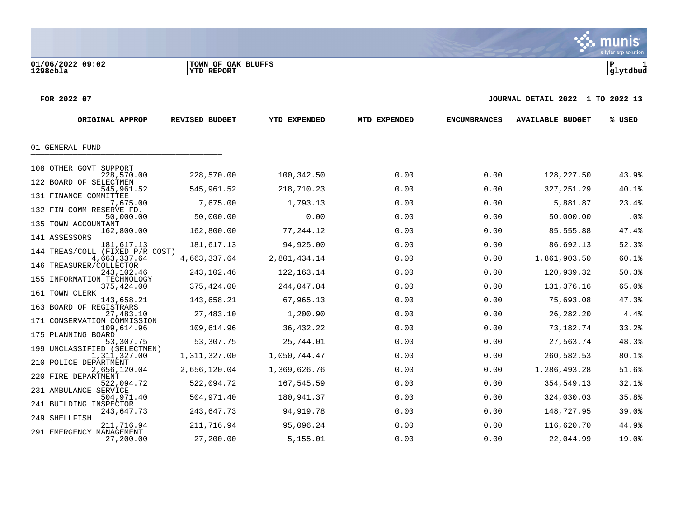**01/06/2022 09:02 |TOWN OF OAK BLUFFS |P 1**

#### **FOR 2022 07 JOURNAL DETAIL 2022 1 TO 2022 13**

| ORIGINAL APPROP                           | REVISED BUDGET | YTD EXPENDED | MTD EXPENDED | <b>ENCUMBRANCES</b> | <b>AVAILABLE BUDGET</b> | % USED |
|-------------------------------------------|----------------|--------------|--------------|---------------------|-------------------------|--------|
|                                           |                |              |              |                     |                         |        |
| 01 GENERAL FUND                           |                |              |              |                     |                         |        |
| 108 OTHER GOVT SUPPORT                    |                |              |              |                     |                         |        |
| 228,570.00                                | 228,570.00     | 100,342.50   | 0.00         | 0.00                | 128,227.50              | 43.9%  |
| 122 BOARD OF SELECTMEN<br>545,961.52      | 545,961.52     | 218,710.23   | 0.00         | 0.00                | 327, 251.29             | 40.1%  |
| 131 FINANCE COMMITTEE                     |                |              |              | 0.00                |                         |        |
| 7,675.00<br>132 FIN COMM RESERVE FD.      | 7,675.00       | 1,793.13     | 0.00         |                     | 5,881.87                | 23.4%  |
| 50,000.00                                 | 50,000.00      | 0.00         | 0.00         | 0.00                | 50,000.00               | .0%    |
| 135 TOWN ACCOUNTANT<br>162,800.00         | 162,800.00     | 77,244.12    | 0.00         | 0.00                | 85,555.88               | 47.4%  |
| 141 ASSESSORS<br>181,617.13               | 181,617.13     | 94,925.00    | 0.00         | 0.00                | 86,692.13               | 52.3%  |
| 144 TREAS/COLL (FIXED P/R COST)           |                |              |              |                     |                         |        |
| 4,663,337.64<br>146 TREASURER/COLLECTOR   | 4,663,337.64   | 2,801,434.14 | 0.00         | 0.00                | 1,861,903.50            | 60.1%  |
| 243,102.46                                | 243,102.46     | 122, 163. 14 | 0.00         | 0.00                | 120,939.32              | 50.3%  |
| 155 INFORMATION TECHNOLOGY<br>375,424.00  | 375,424.00     | 244,047.84   | 0.00         | 0.00                | 131, 376.16             | 65.0%  |
| 161 TOWN CLERK                            |                |              |              |                     |                         |        |
| 143,658.21<br>163 BOARD OF REGISTRARS     | 143,658.21     | 67,965.13    | 0.00         | 0.00                | 75,693.08               | 47.3%  |
| 27,483.10                                 | 27,483.10      | 1,200.90     | 0.00         | 0.00                | 26,282.20               | 4.4%   |
| 171 CONSERVATION COMMISSION<br>109,614.96 | 109,614.96     | 36, 432.22   | 0.00         | 0.00                | 73,182.74               | 33.2%  |
| 175 PLANNING BOARD                        |                |              |              |                     |                         |        |
| 53,307.75<br>199 UNCLASSIFIED (SELECTMEN) | 53,307.75      | 25,744.01    | 0.00         | 0.00                | 27,563.74               | 48.3%  |
| 1,311,327.00<br>210 POLICE DEPARTMENT     | 1,311,327.00   | 1,050,744.47 | 0.00         | 0.00                | 260,582.53              | 80.1%  |
| 2,656,120.04                              | 2,656,120.04   | 1,369,626.76 | 0.00         | 0.00                | 1,286,493.28            | 51.6%  |
| 220 FIRE DEPARTMENT                       | 522,094.72     | 167,545.59   | 0.00         | 0.00                | 354,549.13              | 32.1%  |
| 522,094.72<br>231 AMBULANCE SERVICE       |                |              |              |                     |                         |        |
| 504,971.40<br>241 BUILDING INSPECTOR      | 504,971.40     | 180,941.37   | 0.00         | 0.00                | 324,030.03              | 35.8%  |
| 243,647.73                                | 243,647.73     | 94,919.78    | 0.00         | 0.00                | 148,727.95              | 39.0%  |
| 249 SHELLFISH<br>211,716.94               | 211,716.94     | 95,096.24    | 0.00         | 0.00                | 116,620.70              | 44.9%  |
| 291 EMERGENCY MANAGEMENT                  |                |              |              |                     |                         |        |
| 27,200.00                                 | 27,200.00      | 5,155.01     | 0.00         | 0.00                | 22,044.99               | 19.0%  |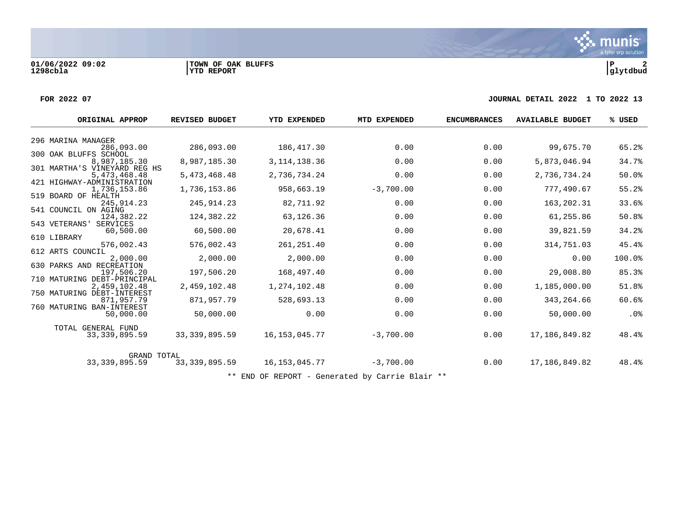**01/06/2022 09:02 |TOWN OF OAK BLUFFS |P 2**

#### **FOR 2022 07 JOURNAL DETAIL 2022 1 TO 2022 13**

| ORIGINAL APPROP                              | <b>REVISED BUDGET</b> | <b>YTD EXPENDED</b> | MTD EXPENDED | <b>ENCUMBRANCES</b> | <b>AVAILABLE BUDGET</b> | % USED |
|----------------------------------------------|-----------------------|---------------------|--------------|---------------------|-------------------------|--------|
|                                              |                       |                     |              |                     |                         |        |
| 296 MARINA MANAGER<br>286,093.00             | 286,093.00            | 186,417.30          | 0.00         | 0.00                | 99,675.70               | 65.2%  |
| 300 OAK BLUFFS SCHOOL                        |                       |                     |              |                     |                         |        |
| 8,987,185.30<br>301 MARTHA'S VINEYARD REG HS | 8,987,185.30          | 3, 114, 138. 36     | 0.00         | 0.00                | 5,873,046.94            | 34.7%  |
| 5,473,468.48                                 | 5,473,468.48          | 2,736,734.24        | 0.00         | 0.00                | 2,736,734.24            | 50.0%  |
| 421 HIGHWAY-ADMINISTRATION                   |                       |                     |              |                     |                         |        |
| 1,736,153.86                                 | 1,736,153.86          | 958,663.19          | $-3,700.00$  | 0.00                | 777,490.67              | 55.2%  |
| 519 BOARD OF HEALTH<br>245, 914. 23          | 245, 914.23           | 82,711.92           | 0.00         | 0.00                | 163, 202. 31            | 33.6%  |
| 541 COUNCIL ON AGING                         |                       |                     |              |                     |                         |        |
| 124,382.22                                   | 124,382.22            | 63,126.36           | 0.00         | 0.00                | 61,255.86               | 50.8%  |
| 543 VETERANS'<br>SERVICES<br>60,500.00       | 60,500.00             | 20,678.41           | 0.00         | 0.00                | 39,821.59               | 34.2%  |
| 610 LIBRARY                                  |                       |                     |              |                     |                         |        |
| 576,002.43                                   | 576,002.43            | 261, 251.40         | 0.00         | 0.00                | 314,751.03              | 45.4%  |
| 612 ARTS COUNCIL                             |                       |                     |              |                     |                         |        |
| 2,000.00<br>630 PARKS AND RECREATION         | 2,000.00              | 2,000.00            | 0.00         | 0.00                | 0.00                    | 100.0% |
| 197,506.20                                   | 197,506.20            | 168,497.40          | 0.00         | 0.00                | 29,008.80               | 85.3%  |
| 710 MATURING DEBT-PRINCIPAL                  |                       |                     |              |                     |                         |        |
| 2,459,102.48                                 | 2,459,102.48          | 1,274,102.48        | 0.00         | 0.00                | 1,185,000.00            | 51.8%  |
| 750 MATURING DEBT-INTEREST<br>871,957.79     | 871,957.79            | 528,693.13          | 0.00         | 0.00                | 343, 264.66             | 60.6%  |
| 760 MATURING BAN-INTEREST                    |                       |                     |              |                     |                         |        |
| 50,000.00                                    | 50,000.00             | 0.00                | 0.00         | 0.00                | 50,000.00               | .0%    |
| TOTAL GENERAL FUND                           |                       |                     |              |                     |                         |        |
| 33, 339, 895.59                              | 33, 339, 895.59       | 16, 153, 045. 77    | $-3,700.00$  | 0.00                | 17,186,849.82           | 48.4%  |
| <b>GRAND TOTAL</b>                           |                       |                     |              |                     |                         |        |
| 33, 339, 895.59                              | 33, 339, 895.59       | 16, 153, 045. 77    | $-3,700.00$  | 0.00                | 17,186,849.82           | 48.4%  |

\*\* END OF REPORT - Generated by Carrie Blair \*\*

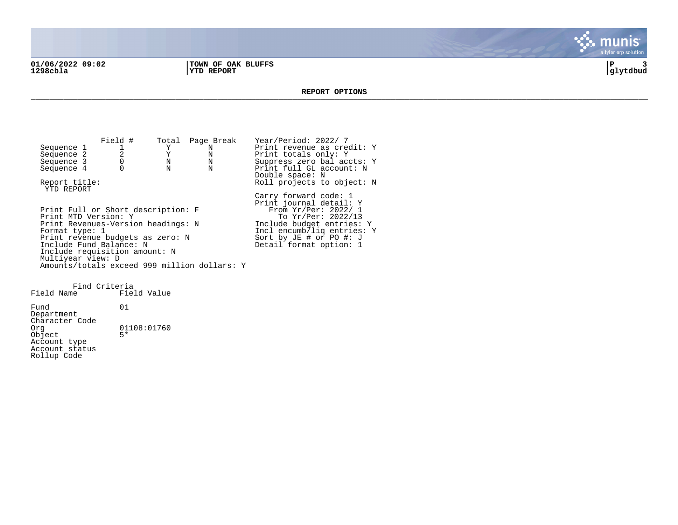**01/06/2022 09:02 |TOWN OF OAK BLUFFS |P 3 1298cbla |YTD REPORT |glytdbud**



#### **REPORT OPTIONS**  \_\_\_\_\_\_\_\_\_\_\_\_\_\_\_\_\_\_\_\_\_\_\_\_\_\_\_\_\_\_\_\_\_\_\_\_\_\_\_\_\_\_\_\_\_\_\_\_\_\_\_\_\_\_\_\_\_\_\_\_\_\_\_\_\_\_\_\_\_\_\_\_\_\_\_\_\_\_\_\_\_\_\_\_\_\_\_\_\_\_\_\_\_\_\_\_\_\_\_\_\_\_\_\_\_\_\_\_\_\_\_\_\_\_\_\_\_\_\_\_\_\_\_\_\_\_\_\_\_\_\_\_

Field # Total Page Break Year/Period: 2022/ 7<br>1 Y N Print revenue as cree Sequence 1 1  $Y$  N Print revenue as credit: Y<br>Sequence 2 2 Y N Print totals only: Y Sequence 2 2 2 Y N Print totals only: Y<br>
Sequence 3 0 N N Suppress zero bal acc Sequence 3 0 0 N N Suppress zero bal accts: Y<br>Sequence 4 0 N N Print full GL account: N Print full GL account: N Double space: N Report title:  $Rol1$  projects to object: N YTD REPORT Carry forward code: 1 Print journal detail: Y Print Full or Short description: F<br>Print MTD Version: Y Print MTD Version: Y The Second To Yr/Per: 2022/13 Print Revenues-Version headings: N 1nclude budget entries: Y<br>Format type: 1 1ncl encumb/liq entries: Incl encumb/liq entries: Y<br>Sort by JE # or PO #: J Print revenue budgets as zero: N Sort by JE # or PO #: J Include Fund Balance: N New York Beasing Detail format option: 1 Include requisition amount: N Multiyear view: D Amounts/totals exceed 999 million dollars: Y

Find Criteria Field Name Fund 01 Department Character Code<br>Org  $01108:01760$  $Object$ Account type Account status Rollup Code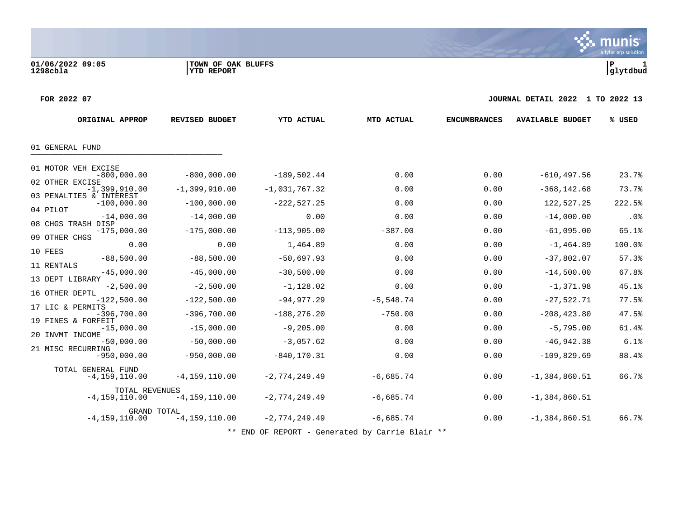munis a tyler erp solution

#### **FOR 2022 07 JOURNAL DETAIL 2022 1 TO 2022 13**

| ORIGINAL APPROP                                                         | <b>REVISED BUDGET</b>            | <b>YTD ACTUAL</b>                 | MTD ACTUAL          | <b>ENCUMBRANCES</b> | <b>AVAILABLE BUDGET</b>       | % USED          |
|-------------------------------------------------------------------------|----------------------------------|-----------------------------------|---------------------|---------------------|-------------------------------|-----------------|
| 01 GENERAL FUND                                                         |                                  |                                   |                     |                     |                               |                 |
| 01 MOTOR VEH EXCISE<br>$-800,000.00$<br>02 OTHER EXCISE                 | $-800,000.00$                    | $-189,502.44$                     | 0.00                | 0.00                | $-610, 497.56$                | 23.7%           |
| $-1,399,910.00$<br>03 PENALTIES & INTEREST<br>$-100,000.00$<br>04 PILOT | $-1,399,910.00$<br>$-100,000.00$ | $-1,031,767.32$<br>$-222, 527.25$ | 0.00<br>0.00        | 0.00<br>0.00        | $-368, 142.68$<br>122,527.25  | 73.7%<br>222.5% |
| $-14,000.00$<br>08 CHGS TRASH DISP<br>$-175,000.00$                     | $-14,000.00$<br>$-175,000.00$    | 0.00<br>$-113,905.00$             | 0.00<br>$-387.00$   | 0.00<br>0.00        | $-14,000.00$<br>$-61,095.00$  | .0%<br>65.1%    |
| 09 OTHER CHGS<br>0.00<br>10 FEES<br>$-88,500.00$                        | 0.00<br>$-88,500.00$             | 1,464.89<br>$-50,697.93$          | 0.00<br>0.00        | 0.00<br>0.00        | $-1, 464.89$<br>$-37,802.07$  | 100.0%<br>57.3% |
| 11 RENTALS<br>$-45,000.00$<br>13 DEPT LIBRARY                           | $-45,000.00$                     | $-30,500.00$                      | 0.00                | 0.00                | $-14,500.00$                  | 67.8%           |
| $-2,500.00$<br>16 OTHER DEPTL<br>$-122,500.00$<br>17 LIC & PERMITS      | $-2,500.00$<br>$-122,500.00$     | $-1,128.02$<br>$-94, 977.29$      | 0.00<br>$-5,548.74$ | 0.00<br>0.00        | $-1, 371.98$<br>$-27,522.71$  | 45.1%<br>77.5%  |
| $-396,700.00$<br>19 FINES & FORFEIT<br>$-15,000.00$                     | $-396,700.00$<br>$-15,000.00$    | $-188, 276.20$<br>$-9, 205.00$    | $-750.00$<br>0.00   | 0.00<br>0.00        | $-208, 423.80$<br>$-5,795.00$ | 47.5%<br>61.4%  |
| 20 INVMT INCOME<br>$-50,000.00$<br>21 MISC RECURRING<br>$-950,000.00$   | $-50,000.00$<br>$-950,000.00$    | $-3,057.62$<br>$-840, 170.31$     | 0.00<br>0.00        | 0.00<br>0.00        | $-46,942.38$<br>$-109,829.69$ | 6.1%<br>88.4%   |
| TOTAL GENERAL FUND<br>$-4, 159, 110.00$                                 | $-4, 159, 110.00$                | $-2,774,249.49$                   | $-6,685.74$         | 0.00                | $-1,384,860.51$               | 66.7%           |
| TOTAL REVENUES<br>$-4, 159, 110.00$                                     | $-4, 159, 110.00$                | $-2,774,249.49$                   | $-6,685.74$         | 0.00                | $-1,384,860.51$               |                 |
| GRAND TOTAL<br>$-4, 159, 110.00$                                        | $-4, 159, 110.00$                | $-2,774,249.49$                   | $-6,685.74$         | 0.00                | $-1,384,860.51$               | 66.7%           |

\*\* END OF REPORT - Generated by Carrie Blair \*\*